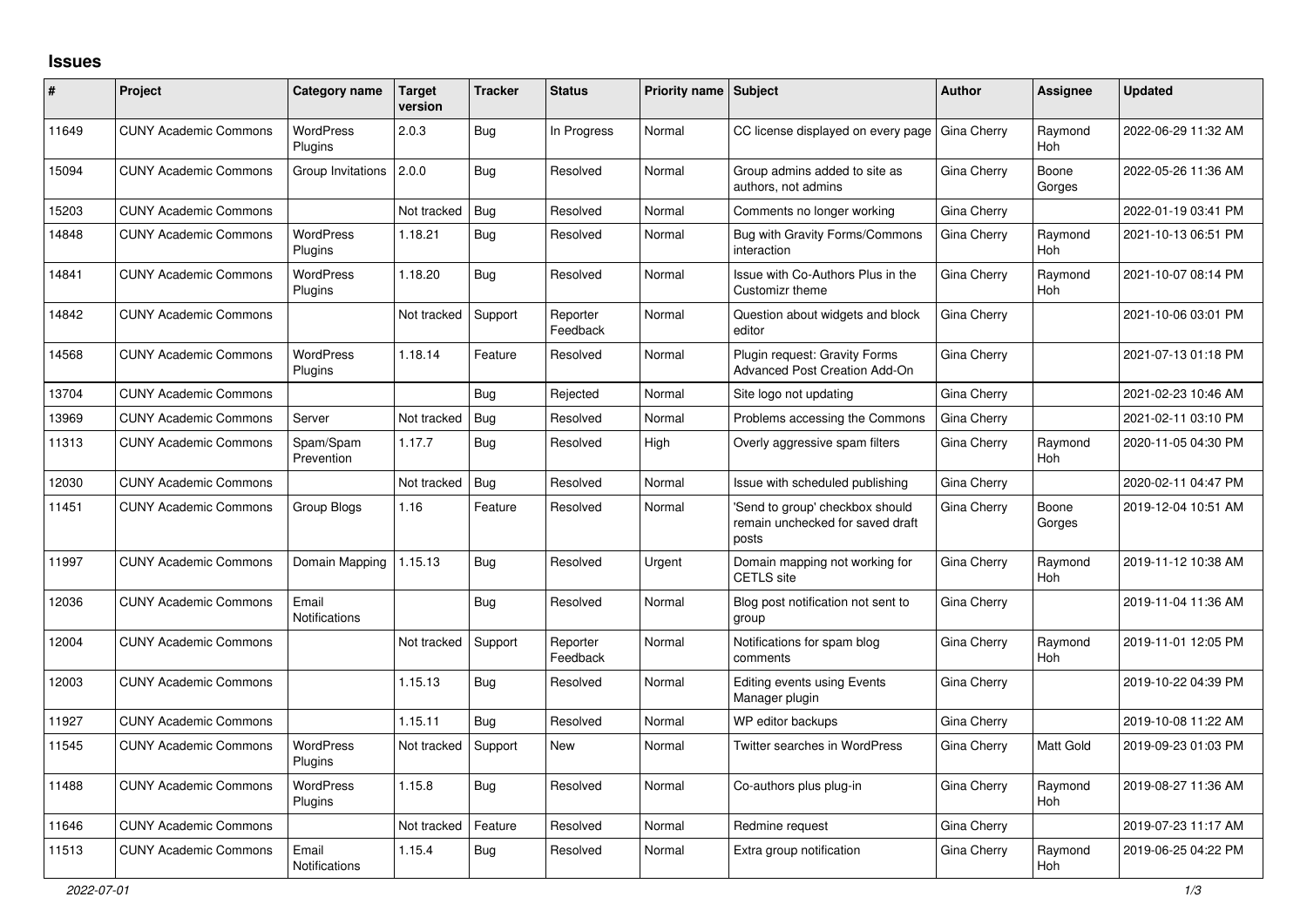## **Issues**

| #     | <b>Project</b>               | Category name                 | <b>Target</b><br>version | <b>Tracker</b> | <b>Status</b>        | <b>Priority name Subject</b> |                                                                             | <b>Author</b> | Assignee              | <b>Updated</b>      |
|-------|------------------------------|-------------------------------|--------------------------|----------------|----------------------|------------------------------|-----------------------------------------------------------------------------|---------------|-----------------------|---------------------|
| 11649 | <b>CUNY Academic Commons</b> | <b>WordPress</b><br>Plugins   | 2.0.3                    | Bug            | In Progress          | Normal                       | CC license displayed on every page                                          | Gina Cherry   | Raymond<br><b>Hoh</b> | 2022-06-29 11:32 AM |
| 15094 | <b>CUNY Academic Commons</b> | Group Invitations             | 2.0.0                    | Bug            | Resolved             | Normal                       | Group admins added to site as<br>authors, not admins                        | Gina Cherry   | Boone<br>Gorges       | 2022-05-26 11:36 AM |
| 15203 | <b>CUNY Academic Commons</b> |                               | Not tracked              | Bug            | Resolved             | Normal                       | Comments no longer working                                                  | Gina Cherry   |                       | 2022-01-19 03:41 PM |
| 14848 | <b>CUNY Academic Commons</b> | <b>WordPress</b><br>Plugins   | 1.18.21                  | Bug            | Resolved             | Normal                       | Bug with Gravity Forms/Commons<br>interaction                               | Gina Cherry   | Raymond<br>Hoh        | 2021-10-13 06:51 PM |
| 14841 | <b>CUNY Academic Commons</b> | <b>WordPress</b><br>Plugins   | 1.18.20                  | Bug            | Resolved             | Normal                       | Issue with Co-Authors Plus in the<br>Customizr theme                        | Gina Cherry   | Raymond<br>Hoh        | 2021-10-07 08:14 PM |
| 14842 | <b>CUNY Academic Commons</b> |                               | Not tracked              | Support        | Reporter<br>Feedback | Normal                       | Question about widgets and block<br>editor                                  | Gina Cherry   |                       | 2021-10-06 03:01 PM |
| 14568 | <b>CUNY Academic Commons</b> | <b>WordPress</b><br>Plugins   | 1.18.14                  | Feature        | Resolved             | Normal                       | Plugin request: Gravity Forms<br><b>Advanced Post Creation Add-On</b>       | Gina Cherry   |                       | 2021-07-13 01:18 PM |
| 13704 | <b>CUNY Academic Commons</b> |                               |                          | Bug            | Rejected             | Normal                       | Site logo not updating                                                      | Gina Cherry   |                       | 2021-02-23 10:46 AM |
| 13969 | <b>CUNY Academic Commons</b> | Server                        | Not tracked              | <b>Bug</b>     | Resolved             | Normal                       | Problems accessing the Commons                                              | Gina Cherry   |                       | 2021-02-11 03:10 PM |
| 11313 | <b>CUNY Academic Commons</b> | Spam/Spam<br>Prevention       | 1.17.7                   | Bug            | Resolved             | High                         | Overly aggressive spam filters                                              | Gina Cherry   | Raymond<br><b>Hoh</b> | 2020-11-05 04:30 PM |
| 12030 | <b>CUNY Academic Commons</b> |                               | Not tracked              | Bug            | Resolved             | Normal                       | Issue with scheduled publishing                                             | Gina Cherry   |                       | 2020-02-11 04:47 PM |
| 11451 | <b>CUNY Academic Commons</b> | Group Blogs                   | 1.16                     | Feature        | Resolved             | Normal                       | Send to group' checkbox should<br>remain unchecked for saved draft<br>posts | Gina Cherry   | Boone<br>Gorges       | 2019-12-04 10:51 AM |
| 11997 | <b>CUNY Academic Commons</b> | Domain Mapping                | 1.15.13                  | Bug            | Resolved             | Urgent                       | Domain mapping not working for<br><b>CETLS</b> site                         | Gina Cherry   | Raymond<br><b>Hoh</b> | 2019-11-12 10:38 AM |
| 12036 | <b>CUNY Academic Commons</b> | Email<br><b>Notifications</b> |                          | Bug            | Resolved             | Normal                       | Blog post notification not sent to<br>group                                 | Gina Cherry   |                       | 2019-11-04 11:36 AM |
| 12004 | <b>CUNY Academic Commons</b> |                               | Not tracked              | Support        | Reporter<br>Feedback | Normal                       | Notifications for spam blog<br>comments                                     | Gina Cherry   | Raymond<br><b>Hoh</b> | 2019-11-01 12:05 PM |
| 12003 | <b>CUNY Academic Commons</b> |                               | 1.15.13                  | Bug            | Resolved             | Normal                       | <b>Editing events using Events</b><br>Manager plugin                        | Gina Cherry   |                       | 2019-10-22 04:39 PM |
| 11927 | <b>CUNY Academic Commons</b> |                               | 1.15.11                  | Bug            | Resolved             | Normal                       | WP editor backups                                                           | Gina Cherry   |                       | 2019-10-08 11:22 AM |
| 11545 | <b>CUNY Academic Commons</b> | <b>WordPress</b><br>Plugins   | Not tracked              | Support        | New                  | Normal                       | <b>Twitter searches in WordPress</b>                                        | Gina Cherry   | Matt Gold             | 2019-09-23 01:03 PM |
| 11488 | <b>CUNY Academic Commons</b> | <b>WordPress</b><br>Plugins   | 1.15.8                   | Bug            | Resolved             | Normal                       | Co-authors plus plug-in                                                     | Gina Cherry   | Raymond<br><b>Hoh</b> | 2019-08-27 11:36 AM |
| 11646 | <b>CUNY Academic Commons</b> |                               | Not tracked              | Feature        | Resolved             | Normal                       | Redmine request                                                             | Gina Cherry   |                       | 2019-07-23 11:17 AM |
| 11513 | <b>CUNY Academic Commons</b> | Email<br><b>Notifications</b> | 1.15.4                   | <b>Bug</b>     | Resolved             | Normal                       | Extra group notification                                                    | Gina Cherry   | Raymond<br>Hoh        | 2019-06-25 04:22 PM |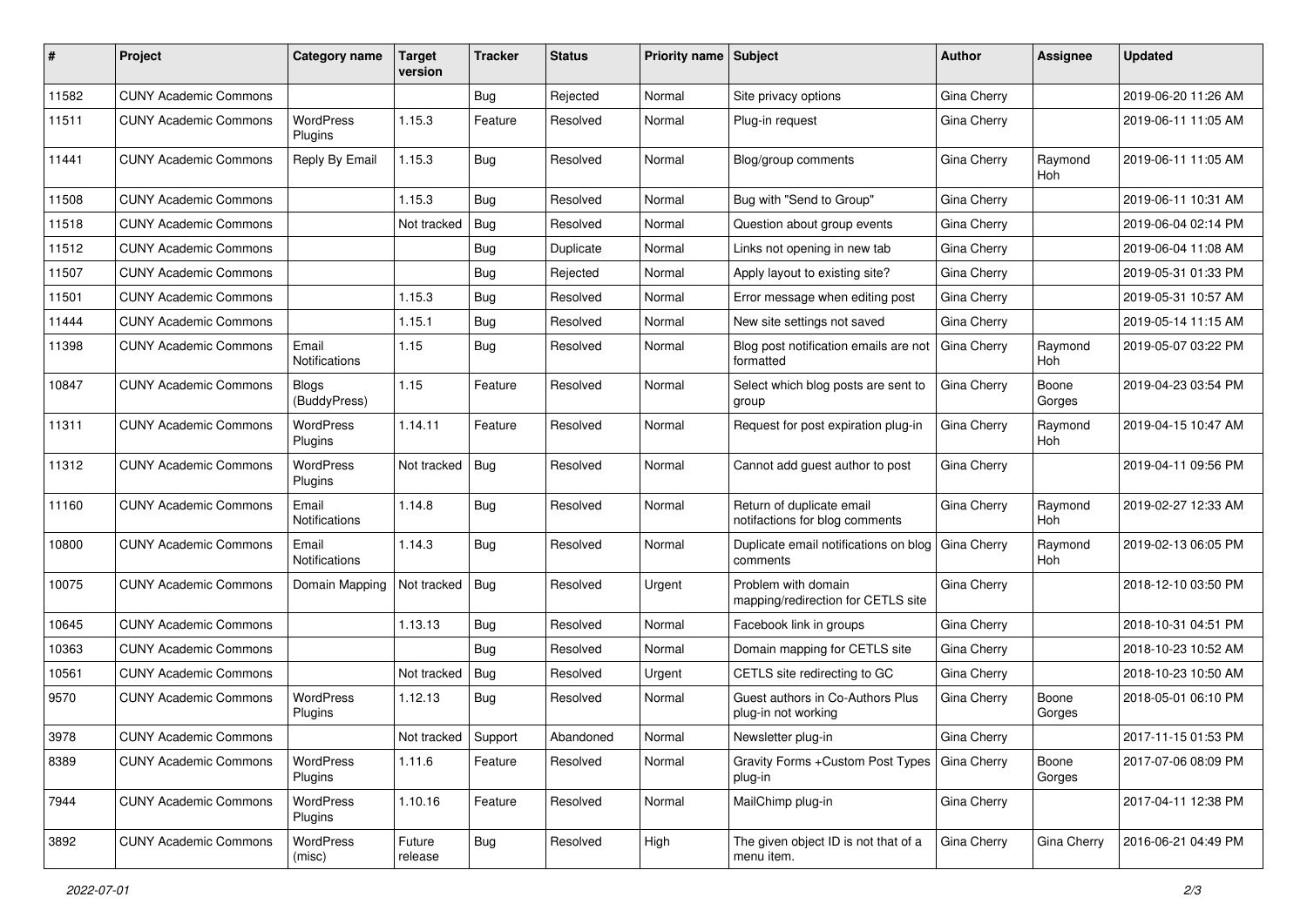| #     | Project                      | Category name                 | Target<br>version | <b>Tracker</b> | <b>Status</b> | Priority name Subject |                                                             | <b>Author</b> | Assignee              | <b>Updated</b>      |
|-------|------------------------------|-------------------------------|-------------------|----------------|---------------|-----------------------|-------------------------------------------------------------|---------------|-----------------------|---------------------|
| 11582 | <b>CUNY Academic Commons</b> |                               |                   | <b>Bug</b>     | Rejected      | Normal                | Site privacy options                                        | Gina Cherry   |                       | 2019-06-20 11:26 AM |
| 11511 | <b>CUNY Academic Commons</b> | <b>WordPress</b><br>Plugins   | 1.15.3            | Feature        | Resolved      | Normal                | Plug-in request                                             | Gina Cherry   |                       | 2019-06-11 11:05 AM |
| 11441 | <b>CUNY Academic Commons</b> | Reply By Email                | 1.15.3            | Bug            | Resolved      | Normal                | Blog/group comments                                         | Gina Cherry   | Raymond<br><b>Hoh</b> | 2019-06-11 11:05 AM |
| 11508 | <b>CUNY Academic Commons</b> |                               | 1.15.3            | Bug            | Resolved      | Normal                | Bug with "Send to Group"                                    | Gina Cherry   |                       | 2019-06-11 10:31 AM |
| 11518 | <b>CUNY Academic Commons</b> |                               | Not tracked       | Bug            | Resolved      | Normal                | Question about group events                                 | Gina Cherry   |                       | 2019-06-04 02:14 PM |
| 11512 | <b>CUNY Academic Commons</b> |                               |                   | <b>Bug</b>     | Duplicate     | Normal                | Links not opening in new tab                                | Gina Cherry   |                       | 2019-06-04 11:08 AM |
| 11507 | <b>CUNY Academic Commons</b> |                               |                   | <b>Bug</b>     | Rejected      | Normal                | Apply layout to existing site?                              | Gina Cherry   |                       | 2019-05-31 01:33 PM |
| 11501 | <b>CUNY Academic Commons</b> |                               | 1.15.3            | <b>Bug</b>     | Resolved      | Normal                | Error message when editing post                             | Gina Cherry   |                       | 2019-05-31 10:57 AM |
| 11444 | <b>CUNY Academic Commons</b> |                               | 1.15.1            | <b>Bug</b>     | Resolved      | Normal                | New site settings not saved                                 | Gina Cherry   |                       | 2019-05-14 11:15 AM |
| 11398 | <b>CUNY Academic Commons</b> | Email<br><b>Notifications</b> | 1.15              | Bug            | Resolved      | Normal                | Blog post notification emails are not<br>formatted          | Gina Cherry   | Raymond<br><b>Hoh</b> | 2019-05-07 03:22 PM |
| 10847 | <b>CUNY Academic Commons</b> | <b>Blogs</b><br>(BuddyPress)  | 1.15              | Feature        | Resolved      | Normal                | Select which blog posts are sent to<br>group                | Gina Cherry   | Boone<br>Gorges       | 2019-04-23 03:54 PM |
| 11311 | <b>CUNY Academic Commons</b> | WordPress<br>Plugins          | 1.14.11           | Feature        | Resolved      | Normal                | Request for post expiration plug-in                         | Gina Cherry   | Raymond<br>Hoh        | 2019-04-15 10:47 AM |
| 11312 | <b>CUNY Academic Commons</b> | <b>WordPress</b><br>Plugins   | Not tracked       | Bug            | Resolved      | Normal                | Cannot add guest author to post                             | Gina Cherry   |                       | 2019-04-11 09:56 PM |
| 11160 | <b>CUNY Academic Commons</b> | Email<br>Notifications        | 1.14.8            | Bug            | Resolved      | Normal                | Return of duplicate email<br>notifactions for blog comments | Gina Cherry   | Raymond<br><b>Hoh</b> | 2019-02-27 12:33 AM |
| 10800 | <b>CUNY Academic Commons</b> | Email<br>Notifications        | 1.14.3            | Bug            | Resolved      | Normal                | Duplicate email notifications on blog<br>comments           | Gina Cherry   | Raymond<br>Hoh        | 2019-02-13 06:05 PM |
| 10075 | <b>CUNY Academic Commons</b> | Domain Mapping                | Not tracked       | Bug            | Resolved      | Urgent                | Problem with domain<br>mapping/redirection for CETLS site   | Gina Cherry   |                       | 2018-12-10 03:50 PM |
| 10645 | <b>CUNY Academic Commons</b> |                               | 1.13.13           | Bug            | Resolved      | Normal                | Facebook link in groups                                     | Gina Cherry   |                       | 2018-10-31 04:51 PM |
| 10363 | <b>CUNY Academic Commons</b> |                               |                   | Bug            | Resolved      | Normal                | Domain mapping for CETLS site                               | Gina Cherry   |                       | 2018-10-23 10:52 AM |
| 10561 | <b>CUNY Academic Commons</b> |                               | Not tracked       | Bug            | Resolved      | Urgent                | CETLS site redirecting to GC                                | Gina Cherry   |                       | 2018-10-23 10:50 AM |
| 9570  | <b>CUNY Academic Commons</b> | <b>WordPress</b><br>Plugins   | 1.12.13           | Bug            | Resolved      | Normal                | Guest authors in Co-Authors Plus<br>plug-in not working     | Gina Cherry   | Boone<br>Gorges       | 2018-05-01 06:10 PM |
| 3978  | <b>CUNY Academic Commons</b> |                               | Not tracked       | Support        | Abandoned     | Normal                | Newsletter plug-in                                          | Gina Cherry   |                       | 2017-11-15 01:53 PM |
| 8389  | <b>CUNY Academic Commons</b> | <b>WordPress</b><br>Plugins   | 1.11.6            | Feature        | Resolved      | Normal                | Gravity Forms + Custom Post Types   Gina Cherry<br>plug-in  |               | Boone<br>Gorges       | 2017-07-06 08:09 PM |
| 7944  | <b>CUNY Academic Commons</b> | WordPress<br>Plugins          | 1.10.16           | Feature        | Resolved      | Normal                | MailChimp plug-in                                           | Gina Cherry   |                       | 2017-04-11 12:38 PM |
| 3892  | <b>CUNY Academic Commons</b> | WordPress<br>(misc)           | Future<br>release | <b>Bug</b>     | Resolved      | High                  | The given object ID is not that of a<br>menu item.          | Gina Cherry   | Gina Cherry           | 2016-06-21 04:49 PM |